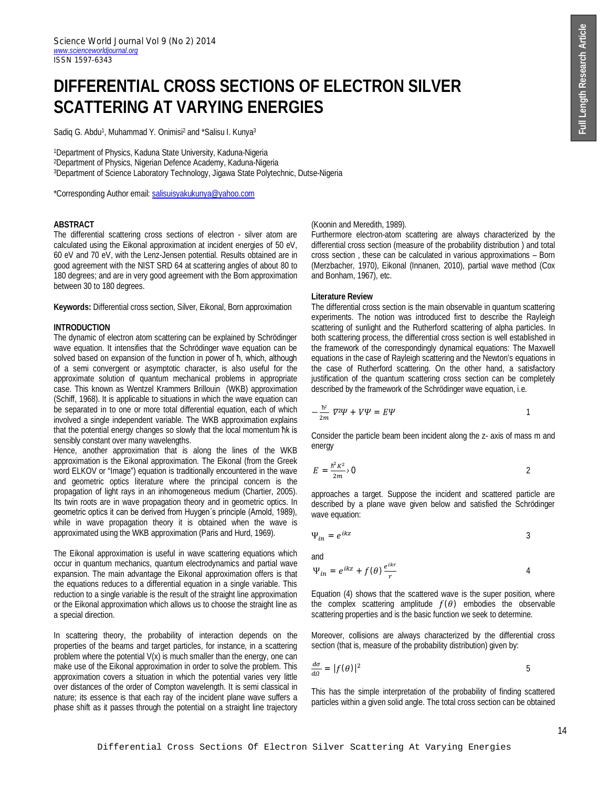# **DIFFERENTIAL CROSS SECTIONS OF ELECTRON SILVER SCATTERING AT VARYING ENERGIES**

Sadiq G. Abdu<sup>1</sup>, Muhammad Y. Onimisi<sup>2</sup> and \*Salisu I. Kunya<sup>3</sup>

<sup>1</sup>Department of Physics, Kaduna State University, Kaduna-Nigeria <sup>2</sup>Department of Physics, Nigerian Defence Academy, Kaduna-Nigeria <sup>3</sup>Department of Science Laboratory Technology, Jigawa State Polytechnic, Dutse-Nigeria

\*Corresponding Author email: salisuisyakukunya@yahoo.com

## **ABSTRACT**

The differential scattering cross sections of electron - silver atom are calculated using the Eikonal approximation at incident energies of 50 eV, 60 eV and 70 eV, with the Lenz-Jensen potential. Results obtained are in good agreement with the NIST SRD 64 at scattering angles of about 80 to 180 degrees; and are in very good agreement with the Born approximation between 30 to 180 degrees.

**Keywords:** Differential cross section, Silver, Eikonal, Born approximation

### **INTRODUCTION**

The dynamic of electron atom scattering can be explained by Schrödinger wave equation. It intensifies that the Schrödinger wave equation can be solved based on expansion of the function in power of ħ, which, although of a semi convergent or asymptotic character, is also useful for the approximate solution of quantum mechanical problems in appropriate case. This known as Wentzel Krammers Brillouin (WKB) approximation (Schiff, 1968). It is applicable to situations in which the wave equation can be separated in to one or more total differential equation, each of which involved a single independent variable. The WKB approximation explains that the potential energy changes so slowly that the local momentum ħk is sensibly constant over many wavelengths.

Hence, another approximation that is along the lines of the WKB approximation is the Eikonal approximation. The Eikonal (from the Greek word ELKOV or "Image") equation is traditionally encountered in the wave and geometric optics literature where the principal concern is the propagation of light rays in an inhomogeneous medium (Chartier, 2005). Its twin roots are in wave propagation theory and in geometric optics. In geometric optics it can be derived from Huygen΄s principle (Arnold, 1989), while in wave propagation theory it is obtained when the wave is approximated using the WKB approximation (Paris and Hurd, 1969).

The Eikonal approximation is useful in wave scattering equations which occur in quantum mechanics, quantum electrodynamics and partial wave expansion. The main advantage the Eikonal approximation offers is that the equations reduces to a differential equation in a single variable. This reduction to a single variable is the result of the straight line approximation or the Eikonal approximation which allows us to choose the straight line as a special direction.

In scattering theory, the probability of interaction depends on the properties of the beams and target particles, for instance, in a scattering problem where the potential  $V(x)$  is much smaller than the energy, one can make use of the Eikonal approximation in order to solve the problem. This approximation covers a situation in which the potential varies very little over distances of the order of Compton wavelength. It is semi classical in nature; its essence is that each ray of the incident plane wave suffers a phase shift as it passes through the potential on a straight line trajectory

## (Koonin and Meredith, 1989).

Furthermore electron-atom scattering are always characterized by the differential cross section (measure of the probability distribution ) and total cross section , these can be calculated in various approximations – Born (Merzbacher, 1970), Eikonal (Innanen, 2010), partial wave method (Cox and Bonham, 1967), etc.

## **Literature Review**

The differential cross section is the main observable in quantum scattering experiments. The notion was introduced first to describe the Rayleigh scattering of sunlight and the Rutherford scattering of alpha particles. In both scattering process, the differential cross section is well established in the framework of the correspondingly dynamical equations: The Maxwell equations in the case of Rayleigh scattering and the Newton's equations in the case of Rutherford scattering. On the other hand, a satisfactory justification of the quantum scattering cross section can be completely described by the framework of the Schrödinger wave equation, i.e.

$$
-\frac{\hbar^2}{2m}\nabla^2\Psi + V\Psi = E\Psi
$$

Consider the particle beam been incident along the z- axis of mass m and energy

$$
E = \frac{\hbar^2 K^2}{2m} \cdot 0
$$

approaches a target. Suppose the incident and scattered particle are described by a plane wave given below and satisfied the Schrödinger wave equation:

$$
\Psi_{in} = e^{ikz} \tag{3}
$$

and

$$
\Psi_{in} = e^{ikz} + f(\theta) \frac{e^{ikr}}{r}
$$

Equation (4) shows that the scattered wave is the super position, where the complex scattering amplitude  $f(\theta)$  embodies the observable scattering properties and is the basic function we seek to determine.

Moreover, collisions are always characterized by the differential cross section (that is, measure of the probability distribution) given by:

$$
\frac{d\sigma}{d\Omega} = |f(\theta)|^2 \tag{5}
$$

This has the simple interpretation of the probability of finding scattered particles within a given solid angle. The total cross section can be obtained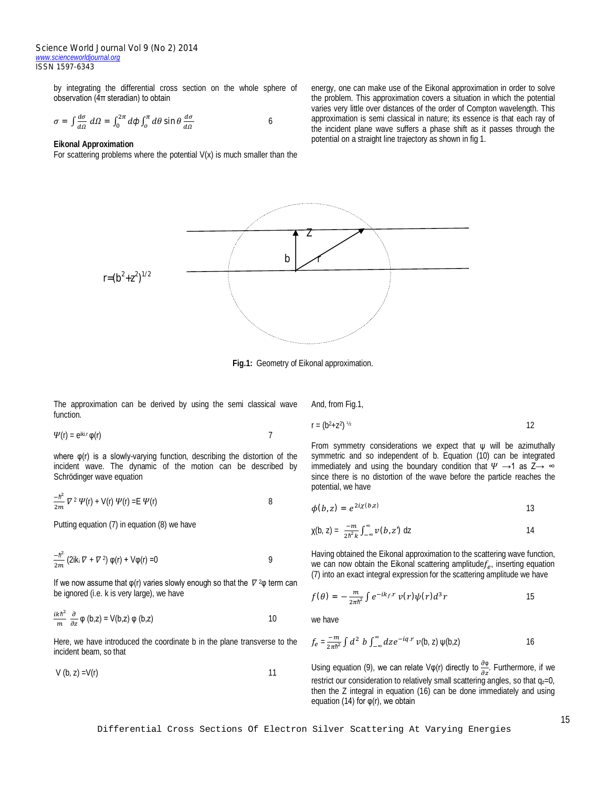by integrating the differential cross section on the whole sphere of observation (4π steradian) to obtain

$$
\sigma = \int \frac{d\sigma}{d\Omega} \, d\Omega = \int_0^{2\pi} d\phi \int_0^{\pi} d\theta \sin \theta \, \frac{d\sigma}{d\Omega} \tag{6}
$$

#### **Eikonal Approximation**

For scattering problems where the potential  $V(x)$  is much smaller than the

energy, one can make use of the Eikonal approximation in order to solve the problem. This approximation covers a situation in which the potential varies very little over distances of the order of Compton wavelength. This approximation is semi classical in nature; its essence is that each ray of the incident plane wave suffers a phase shift as it passes through the potential on a straight line trajectory as shown in fig 1.



**Fig.1:** Geometry of Eikonal approximation.

The approximation can be derived by using the semi classical wave function.

$$
\Psi(\mathsf{r}) = e^{ik\mathsf{r}\cdot\mathsf{r}} \varphi(\mathsf{r}) \tag{7}
$$

where φ(r) is a slowly-varying function, describing the distortion of the incident wave. The dynamic of the motion can be described by Schrödinger wave equation

$$
\frac{-\hbar^2}{2m}\nabla^2\Psi(\mathbf{r})+\mathsf{V}(\mathbf{r})\Psi(\mathbf{r})=\mathsf{E}\Psi(\mathbf{r})
$$

Putting equation (7) in equation (8) we have

$$
\frac{-\hbar^2}{2m} \left( 2ik_i \nabla + \nabla^2 \right) \varphi(r) + V\varphi(r) = 0
$$

If we now assume that  $\varphi(r)$  varies slowly enough so that the  $\nabla^2\varphi$  term can be ignored (i.e. k is very large), we have

$$
\frac{ikh^2}{m} \frac{\partial}{\partial z} \varphi (b, z) = V(b, z) \varphi (b, z)
$$

Here, we have introduced the coordinate b in the plane transverse to the incident beam, so that

 $V (b, z) = V(r)$  11

And, from Fig.1,

 $r = (b^2 + z^2)^{1/2}$ 

$$
)^{\frac{1}{2}}
$$

From symmetry considerations we expect that  $\psi$  will be azimuthally symmetric and so independent of b. Equation (10) can be integrated immediately and using the boundary condition that  $\Psi \rightarrow 1$  as  $Z \rightarrow \infty$ since there is no distortion of the wave before the particle reaches the potential, we have

$$
\phi(b,z) = e^{2i\chi(b,z)} \tag{13}
$$

$$
\chi(b, z) = \frac{-m}{2h^2k} \int_{-\infty}^{\infty} \nu(b, z') dz
$$
 14

Having obtained the Eikonal approximation to the scattering wave function, we can now obtain the Eikonal scattering amplitude $f_e$ , inserting equation (7) into an exact integral expression for the scattering amplitude we have

$$
f(\theta) = -\frac{m}{2\pi\hbar^2} \int e^{-ik_f \cdot r} v(r) \psi(r) d^3 r
$$

we have

$$
f_e = \frac{-m}{2\pi\hbar^2} \int d^2 b \int_{-\infty}^{\infty} dz e^{-iq \cdot r} v(b, z) \psi(b, z)
$$

Using equation (9), we can relate V $\varphi(r)$  directly to  $\frac{\partial \varphi}{\partial z}$ . Furthermore, if we restrict our consideration to relatively small scattering angles, so that  $q_z=0$ , then the Z integral in equation (16) can be done immediately and using equation (14) for  $φ(r)$ , we obtain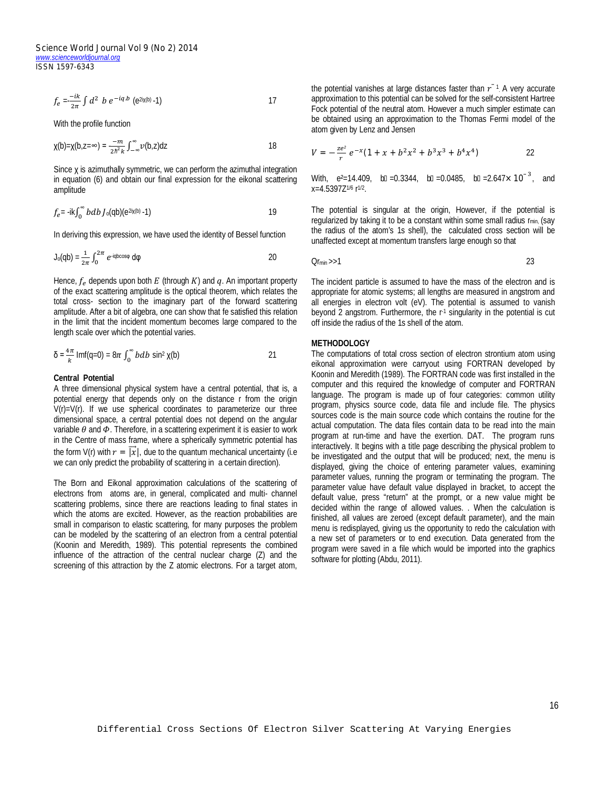*Science World Journal Vol 9 (No 2) 2014 www.scienceworldjournal.org ISSN 1597-6343*

$$
f_e = \frac{-ik}{2\pi} \int d^2 b e^{-iq.b} (e^{2i\chi(b)} - 1)
$$

With the profile function

$$
\chi(b) = \chi(b, z = \infty) = \frac{-m}{2h^2 k} \int_{-\infty}^{\infty} \nu(b, z) dz
$$

Since χ is azimuthally symmetric, we can perform the azimuthal integration in equation (6) and obtain our final expression for the eikonal scattering amplitude

$$
f_e = -ik \int_0^\infty b \, db \, J_0(\text{qb}) (e^{2i\chi(\text{b})} - 1)
$$

In deriving this expression, we have used the identity of Bessel function

$$
J_0(qb) = \frac{1}{2\pi} \int_0^{2\pi} e^{-iqbc \cos\varphi} d\varphi
$$
 20

Hence,  $f_e$  depends upon both E (through K) and q. An important property of the exact scattering amplitude is the optical theorem, which relates the total cross- section to the imaginary part of the forward scattering amplitude. After a bit of algebra, one can show that fe satisfied this relation in the limit that the incident momentum becomes large compared to the length scale over which the potential varies.

$$
\delta = \frac{4\pi}{k} \operatorname{Imf}(q=0) = 8\pi \int_0^\infty b \, db \, \sin^2 \chi(b) \tag{21}
$$

## **Central Potential**

A three dimensional physical system have a central potential, that is, a potential energy that depends only on the distance r from the origin  $V(r) = V(r)$ . If we use spherical coordinates to parameterize our three dimensional space, a central potential does not depend on the angular variable  $\theta$  and  $\Phi$ . Therefore, in a scattering experiment it is easier to work in the Centre of mass frame, where a spherically symmetric potential has the form V(r) with  $r = |\vec{x}|$ , due to the quantum mechanical uncertainty (i.e we can only predict the probability of scattering in a certain direction).

The Born and Eikonal approximation calculations of the scattering of electrons from atoms are, in general, complicated and multi- channel scattering problems, since there are reactions leading to final states in which the atoms are excited. However, as the reaction probabilities are small in comparison to elastic scattering, for many purposes the problem can be modeled by the scattering of an electron from a central potential (Koonin and Meredith, 1989). This potential represents the combined influence of the attraction of the central nuclear charge (Z) and the screening of this attraction by the Z atomic electrons. For a target atom,

the potential vanishes at large distances faster than  $r^{-1}$ . A very accurate approximation to this potential can be solved for the self-consistent Hartree Fock potential of the neutral atom. However a much simpler estimate can be obtained using an approximation to the Thomas Fermi model of the atom given by Lenz and Jensen

$$
V = -\frac{ze^2}{r}e^{-x}(1+x+b^2x^2+b^3x^3+b^4x^4)
$$

With,  $e^2 = 14.409$ ,  $h = 0.3344$ ,  $h = 0.0485$ ,  $h = 2.647 \times 10^{-3}$ , and x=4.5397Z1/6 r 1/2 .

The potential is singular at the origin, However, if the potential is regularized by taking it to be a constant within some small radius  $r_{min}$  (say the radius of the atom's 1s shell), the calculated cross section will be unaffected except at momentum transfers large enough so that

$$
Or_{\min} >> 1
$$

The incident particle is assumed to have the mass of the electron and is appropriate for atomic systems; all lengths are measured in angstrom and all energies in electron volt (eV). The potential is assumed to vanish beyond 2 angstrom. Furthermore, the r-1 singularity in the potential is cut off inside the radius of the 1s shell of the atom.

## **METHODOLOGY**

The computations of total cross section of electron strontium atom using eikonal approximation were carryout using FORTRAN developed by Koonin and Meredith (1989). The FORTRAN code was first installed in the computer and this required the knowledge of computer and FORTRAN language. The program is made up of four categories: common utility program, physics source code, data file and include file. The physics sources code is the main source code which contains the routine for the actual computation. The data files contain data to be read into the main program at run-time and have the exertion. DAT. The program runs interactively. It begins with a title page describing the physical problem to be investigated and the output that will be produced; next, the menu is displayed, giving the choice of entering parameter values, examining parameter values, running the program or terminating the program. The parameter value have default value displayed in bracket, to accept the default value, press "return" at the prompt, or a new value might be decided within the range of allowed values. . When the calculation is finished, all values are zeroed (except default parameter), and the main menu is redisplayed, giving us the opportunity to redo the calculation with a new set of parameters or to end execution. Data generated from the program were saved in a file which would be imported into the graphics software for plotting (Abdu, 2011).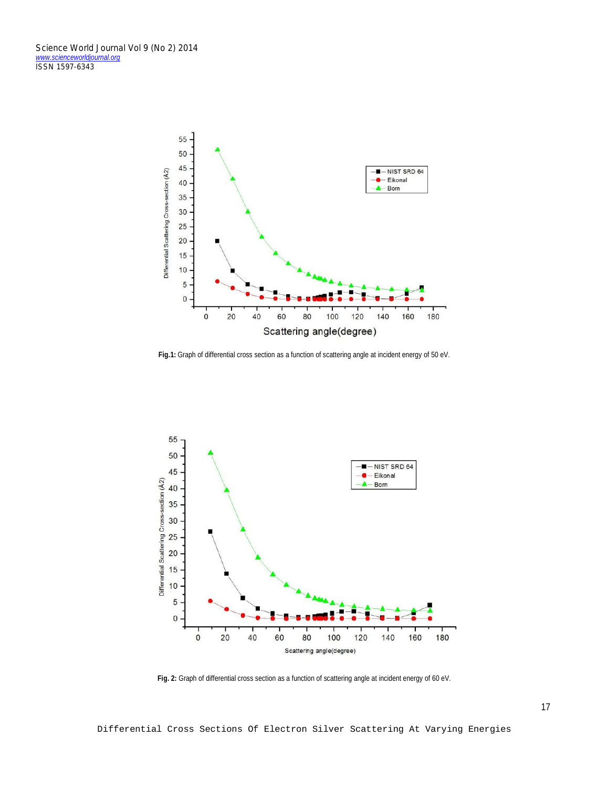

**Fig.1:** Graph of differential cross section as a function of scattering angle at incident energy of 50 eV.



**Fig. 2:** Graph of differential cross section as a function of scattering angle at incident energy of 60 eV.

Differential Cross Sections Of Electron Silver Scattering At Varying Energies